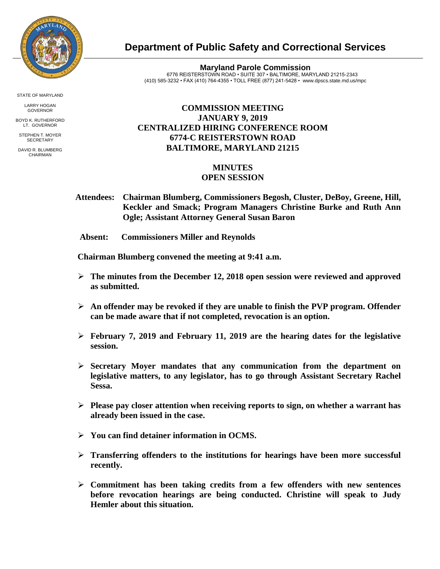

**Department of Public Safety and Correctional Services**

**Maryland Parole Commission** 6776 REISTERSTOWN ROAD • SUITE 307 • BALTIMORE, MARYLAND 21215-2343 (410) 585-3232 • FAX (410) 764-4355 • TOLL FREE (877) 241-5428 • [www.dpscs.state.md.us/m](http://www.dpscs.state.md.us/)pc

## **COMMISSION MEETING JANUARY 9, 2019 CENTRALIZED HIRING CONFERENCE ROOM 6774-C REISTERSTOWN ROAD BALTIMORE, MARYLAND 21215**

## **MINUTES OPEN SESSION**

- **Attendees: Chairman Blumberg, Commissioners Begosh, Cluster, DeBoy, Greene, Hill, Keckler and Smack; Program Managers Christine Burke and Ruth Ann Ogle; Assistant Attorney General Susan Baron**
- **Absent: Commissioners Miller and Reynolds**

 **Chairman Blumberg convened the meeting at 9:41 a.m.**

- **The minutes from the December 12, 2018 open session were reviewed and approved as submitted.**
- **An offender may be revoked if they are unable to finish the PVP program. Offender can be made aware that if not completed, revocation is an option.**
- **February 7, 2019 and February 11, 2019 are the hearing dates for the legislative session.**
- **Secretary Moyer mandates that any communication from the department on legislative matters, to any legislator, has to go through Assistant Secretary Rachel Sessa.**
- **Please pay closer attention when receiving reports to sign, on whether a warrant has already been issued in the case.**
- **You can find detainer information in OCMS.**
- **Transferring offenders to the institutions for hearings have been more successful recently.**
- **Commitment has been taking credits from a few offenders with new sentences before revocation hearings are being conducted. Christine will speak to Judy Hemler about this situation.**

STATE OF MARYLAND

LARRY HOGAN GOVERNOR BOYD K. RUTHERFORD

LT. GOVERNOR STEPHEN T. MOYER

**SECRETARY** DAVID R. BLUMBERG CHAIRMAN